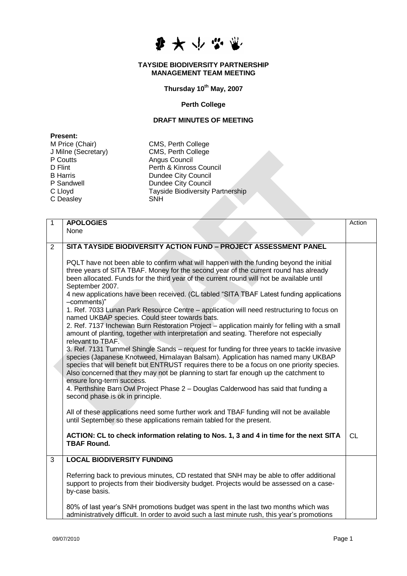

## **TAYSIDE BIODIVERSITY PARTNERSHIP MANAGEMENT TEAM MEETING**

**Thursday 10th May, 2007**

## **Perth College**

## **DRAFT MINUTES OF MEETING**

**Present:**<br>M Price (Chair) P Coutts **Angus Council**<br>
D Flint **Perth & Kinross** C Deasley

CMS, Perth College J Milne (Secretary) CMS, Perth College D Flint D Flint Perth & Kinross Council<br>B Harris Dundee City Council B Harris Dundee City Council<br>
P Sandwell **Dundee City Council** P Sandwell **Dundee City Council**<br>C Lloyd **C** Lloyd **Tayside Biodiversity** Tayside Biodiversity Partnership<br>SNH

| $\mathbf{1}$ | <b>APOLOGIES</b>                                                                                                                                                                                                                                                                                                                                                                                                       | Action    |
|--------------|------------------------------------------------------------------------------------------------------------------------------------------------------------------------------------------------------------------------------------------------------------------------------------------------------------------------------------------------------------------------------------------------------------------------|-----------|
|              | None                                                                                                                                                                                                                                                                                                                                                                                                                   |           |
| 2            | SITA TAYSIDE BIODIVERSITY ACTION FUND - PROJECT ASSESSMENT PANEL                                                                                                                                                                                                                                                                                                                                                       |           |
|              | PQLT have not been able to confirm what will happen with the funding beyond the initial<br>three years of SITA TBAF. Money for the second year of the current round has already<br>been allocated. Funds for the third year of the current round will not be available until<br>September 2007.                                                                                                                        |           |
|              | 4 new applications have been received. (CL tabled "SITA TBAF Latest funding applications<br>-comments)"<br>1. Ref. 7033 Lunan Park Resource Centre – application will need restructuring to focus on                                                                                                                                                                                                                   |           |
|              | named UKBAP species. Could steer towards bats.                                                                                                                                                                                                                                                                                                                                                                         |           |
|              | 2. Ref. 7137 Inchewan Burn Restoration Project - application mainly for felling with a small<br>amount of planting, together with interpretation and seating. Therefore not especially                                                                                                                                                                                                                                 |           |
|              | relevant to TBAF.<br>3. Ref. 7131 Tummel Shingle Sands - request for funding for three years to tackle invasive<br>species (Japanese Knotweed, Himalayan Balsam). Application has named many UKBAP<br>species that will benefit but ENTRUST requires there to be a focus on one priority species.<br>Also concerned that they may not be planning to start far enough up the catchment to<br>ensure long-term success. |           |
|              | 4. Perthshire Barn Owl Project Phase 2 - Douglas Calderwood has said that funding a<br>second phase is ok in principle.                                                                                                                                                                                                                                                                                                |           |
|              | All of these applications need some further work and TBAF funding will not be available<br>until September so these applications remain tabled for the present.                                                                                                                                                                                                                                                        |           |
|              | ACTION: CL to check information relating to Nos. 1, 3 and 4 in time for the next SITA<br><b>TBAF Round.</b>                                                                                                                                                                                                                                                                                                            | <b>CL</b> |
| 3            | <b>LOCAL BIODIVERSITY FUNDING</b>                                                                                                                                                                                                                                                                                                                                                                                      |           |
|              | Referring back to previous minutes, CD restated that SNH may be able to offer additional<br>support to projects from their biodiversity budget. Projects would be assessed on a case-<br>by-case basis.                                                                                                                                                                                                                |           |
|              | 80% of last year's SNH promotions budget was spent in the last two months which was<br>administratively difficult. In order to avoid such a last minute rush, this year's promotions                                                                                                                                                                                                                                   |           |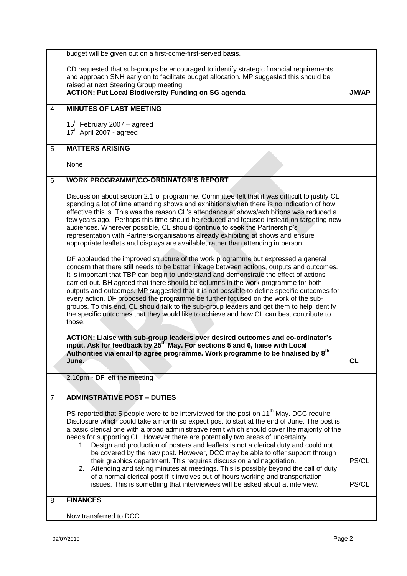|   | budget will be given out on a first-come-first-served basis.                                                                                                                                 |              |
|---|----------------------------------------------------------------------------------------------------------------------------------------------------------------------------------------------|--------------|
|   | CD requested that sub-groups be encouraged to identify strategic financial requirements                                                                                                      |              |
|   | and approach SNH early on to facilitate budget allocation. MP suggested this should be                                                                                                       |              |
|   | raised at next Steering Group meeting.                                                                                                                                                       |              |
|   | <b>ACTION: Put Local Biodiversity Funding on SG agenda</b>                                                                                                                                   | <b>JM/AP</b> |
| 4 | <b>MINUTES OF LAST MEETING</b>                                                                                                                                                               |              |
|   |                                                                                                                                                                                              |              |
|   | 15 <sup>th</sup> February 2007 - agreed<br>17 <sup>th</sup> April 2007 - agreed                                                                                                              |              |
|   |                                                                                                                                                                                              |              |
| 5 | <b>MATTERS ARISING</b>                                                                                                                                                                       |              |
|   |                                                                                                                                                                                              |              |
|   | None                                                                                                                                                                                         |              |
| 6 | <b>WORK PROGRAMME/CO-ORDINATOR'S REPORT</b>                                                                                                                                                  |              |
|   |                                                                                                                                                                                              |              |
|   | Discussion about section 2.1 of programme. Committee felt that it was difficult to justify CL                                                                                                |              |
|   | spending a lot of time attending shows and exhibitions when there is no indication of how<br>effective this is. This was the reason CL's attendance at shows/exhibitions was reduced a       |              |
|   | few years ago. Perhaps this time should be reduced and focused instead on targeting new                                                                                                      |              |
|   | audiences. Wherever possible, CL should continue to seek the Partnership's                                                                                                                   |              |
|   | representation with Partners/organisations already exhibiting at shows and ensure                                                                                                            |              |
|   | appropriate leaflets and displays are available, rather than attending in person.                                                                                                            |              |
|   |                                                                                                                                                                                              |              |
|   | DF applauded the improved structure of the work programme but expressed a general<br>concern that there still needs to be better linkage between actions, outputs and outcomes.              |              |
|   | It is important that TBP can begin to understand and demonstrate the effect of actions                                                                                                       |              |
|   | carried out. BH agreed that there should be columns in the work programme for both                                                                                                           |              |
|   | outputs and outcomes. MP suggested that it is not possible to define specific outcomes for                                                                                                   |              |
|   | every action. DF proposed the programme be further focused on the work of the sub-                                                                                                           |              |
|   | groups. To this end, CL should talk to the sub-group leaders and get them to help identify                                                                                                   |              |
|   | the specific outcomes that they would like to achieve and how CL can best contribute to<br>those.                                                                                            |              |
|   |                                                                                                                                                                                              |              |
|   | ACTION: Liaise with sub-group leaders over desired outcomes and co-ordinator's                                                                                                               |              |
|   | input. Ask for feedback by 25 <sup>th</sup> May. For sections 5 and 6, liaise with Local                                                                                                     |              |
|   | Authorities via email to agree programme. Work programme to be finalised by 8 <sup>th</sup>                                                                                                  |              |
|   | June.                                                                                                                                                                                        | <b>CL</b>    |
|   | 2.10pm - DF left the meeting                                                                                                                                                                 |              |
|   |                                                                                                                                                                                              |              |
| 7 | <b>ADMINSTRATIVE POST - DUTIES</b>                                                                                                                                                           |              |
|   |                                                                                                                                                                                              |              |
|   | PS reported that 5 people were to be interviewed for the post on 11 <sup>th</sup> May. DCC require                                                                                           |              |
|   | Disclosure which could take a month so expect post to start at the end of June. The post is<br>a basic clerical one with a broad administrative remit which should cover the majority of the |              |
|   | needs for supporting CL. However there are potentially two areas of uncertainty.                                                                                                             |              |
|   | Design and production of posters and leaflets is not a clerical duty and could not<br>1.                                                                                                     |              |
|   | be covered by the new post. However, DCC may be able to offer support through                                                                                                                |              |
|   | their graphics department. This requires discussion and negotiation.                                                                                                                         | PS/CL        |
|   | Attending and taking minutes at meetings. This is possibly beyond the call of duty<br>2.                                                                                                     |              |
|   | of a normal clerical post if it involves out-of-hours working and transportation                                                                                                             | PS/CL        |
|   | issues. This is something that interviewees will be asked about at interview.                                                                                                                |              |
| 8 | <b>FINANCES</b>                                                                                                                                                                              |              |
|   |                                                                                                                                                                                              |              |
|   | Now transferred to DCC                                                                                                                                                                       |              |